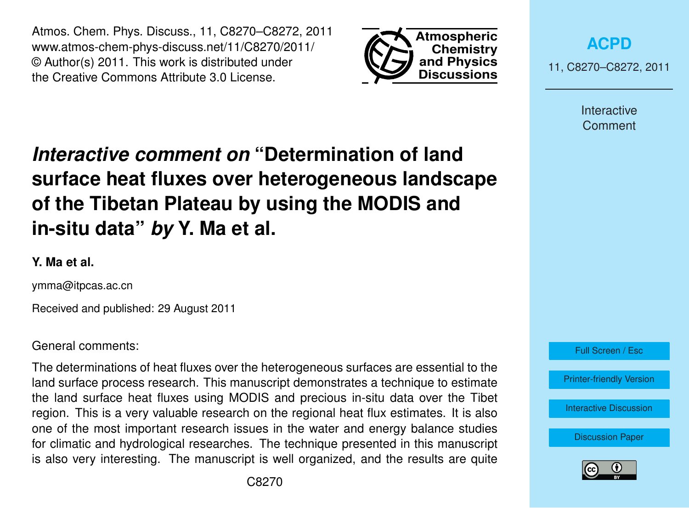Atmos. Chem. Phys. Discuss., 11, C8270–C8272, 2011 www.atmos-chem-phys-discuss.net/11/C8270/2011/ © Author(s) 2011. This work is distributed under the Creative Commons Attribute 3.0 License.



**[ACPD](http://www.atmos-chem-phys-discuss.net)** 11, C8270–C8272, 2011

> Interactive Comment

# *Interactive comment on* **"Determination of land surface heat fluxes over heterogeneous landscape of the Tibetan Plateau by using the MODIS and in-situ data"** *by* **Y. Ma et al.**

## **Y. Ma et al.**

ymma@itpcas.ac.cn

Received and published: 29 August 2011

### General comments:

The determinations of heat fluxes over the heterogeneous surfaces are essential to the land surface process research. This manuscript demonstrates a technique to estimate the land surface heat fluxes using MODIS and precious in-situ data over the Tibet region. This is a very valuable research on the regional heat flux estimates. It is also one of the most important research issues in the water and energy balance studies for climatic and hydrological researches. The technique presented in this manuscript is also very interesting. The manuscript is well organized, and the results are quite



[Interactive Discussion](http://www.atmos-chem-phys-discuss.net/11/19617/2011/acpd-11-19617-2011-discussion.html)

[Discussion Paper](http://www.atmos-chem-phys-discuss.net/11/19617/2011/acpd-11-19617-2011.pdf)

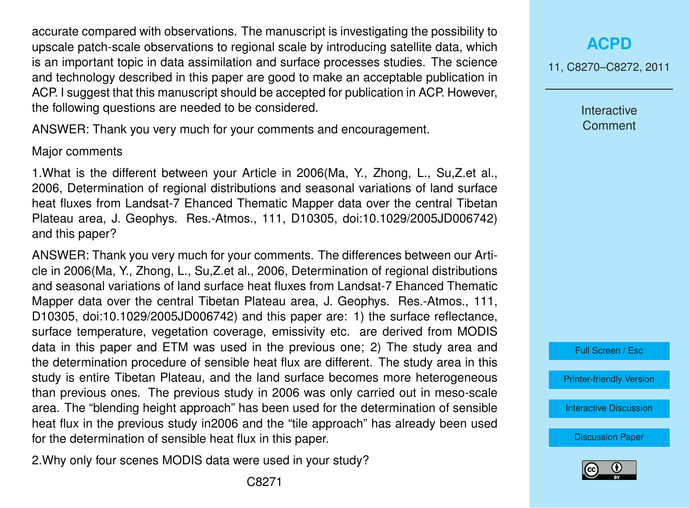accurate compared with observations. The manuscript is investigating the possibility to upscale patch-scale observations to regional scale by introducing satellite data, which is an important topic in data assimilation and surface processes studies. The science and technology described in this paper are good to make an acceptable publication in ACP. I suggest that this manuscript should be accepted for publication in ACP. However, the following questions are needed to be considered.

ANSWER: Thank you very much for your comments and encouragement.

#### Major comments

1.What is the different between your Article in 2006(Ma, Y., Zhong, L., Su,Z.et al., 2006, Determination of regional distributions and seasonal variations of land surface heat fluxes from Landsat-7 Ehanced Thematic Mapper data over the central Tibetan Plateau area, J. Geophys. Res.-Atmos., 111, D10305, doi:10.1029/2005JD006742) and this paper?

ANSWER: Thank you very much for your comments. The differences between our Article in 2006(Ma, Y., Zhong, L., Su,Z.et al., 2006, Determination of regional distributions and seasonal variations of land surface heat fluxes from Landsat-7 Ehanced Thematic Mapper data over the central Tibetan Plateau area, J. Geophys. Res.-Atmos., 111, D10305, doi:10.1029/2005JD006742) and this paper are: 1) the surface reflectance, surface temperature, vegetation coverage, emissivity etc. are derived from MODIS data in this paper and ETM was used in the previous one; 2) The study area and the determination procedure of sensible heat flux are different. The study area in this study is entire Tibetan Plateau, and the land surface becomes more heterogeneous than previous ones. The previous study in 2006 was only carried out in meso-scale area. The "blending height approach" has been used for the determination of sensible heat flux in the previous study in2006 and the "tile approach" has already been used for the determination of sensible heat flux in this paper.

2.Why only four scenes MODIS data were used in your study?

11, C8270–C8272, 2011

Interactive **Comment** 

Full Screen / Esc

[Printer-friendly Version](http://www.atmos-chem-phys-discuss.net/11/C8270/2011/acpd-11-C8270-2011-print.pdf)

[Interactive Discussion](http://www.atmos-chem-phys-discuss.net/11/19617/2011/acpd-11-19617-2011-discussion.html)

[Discussion Paper](http://www.atmos-chem-phys-discuss.net/11/19617/2011/acpd-11-19617-2011.pdf)